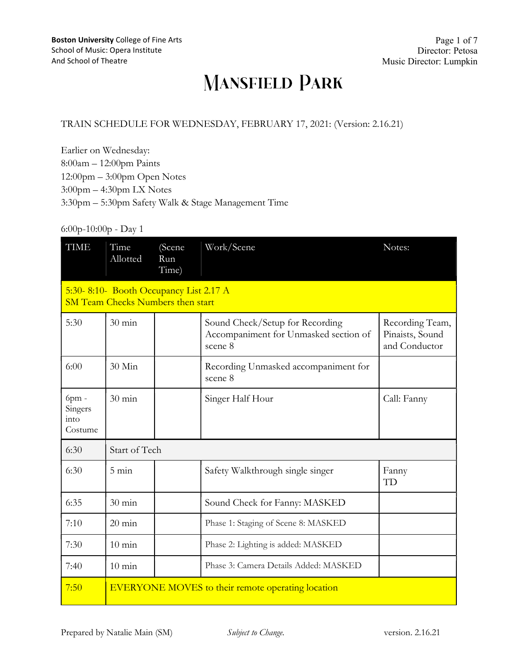#### TRAIN SCHEDULE FOR WEDNESDAY, FEBRUARY 17, 2021: (Version: 2.16.21)

Earlier on Wednesday: 8:00am – 12:00pm Paints 12:00pm – 3:00pm Open Notes 3:00pm – 4:30pm LX Notes 3:30pm – 5:30pm Safety Walk & Stage Management Time

#### 6:00p-10:00p - Day 1

| <b>TIME</b>                                                                        | Time<br>Allotted                                         | (Scene<br>Run<br>Time) | Work/Scene                                                                          | Notes:                                              |
|------------------------------------------------------------------------------------|----------------------------------------------------------|------------------------|-------------------------------------------------------------------------------------|-----------------------------------------------------|
| 5:30-8:10- Booth Occupancy List 2.17 A<br><b>SM Team Checks Numbers then start</b> |                                                          |                        |                                                                                     |                                                     |
| 5:30                                                                               | $30 \text{ min}$                                         |                        | Sound Check/Setup for Recording<br>Accompaniment for Unmasked section of<br>scene 8 | Recording Team,<br>Pinaists, Sound<br>and Conductor |
| 6:00                                                                               | 30 Min                                                   |                        | Recording Unmasked accompaniment for<br>scene 8                                     |                                                     |
| 6pm -<br>Singers<br>into<br>Costume                                                | $30 \text{ min}$                                         |                        | Singer Half Hour                                                                    | Call: Fanny                                         |
| 6:30                                                                               | Start of Tech                                            |                        |                                                                                     |                                                     |
| 6:30                                                                               | $5 \text{ min}$                                          |                        | Safety Walkthrough single singer                                                    | Fanny<br>TD                                         |
| 6:35                                                                               | $30 \text{ min}$                                         |                        | Sound Check for Fanny: MASKED                                                       |                                                     |
| 7:10                                                                               | $20 \text{ min}$                                         |                        | Phase 1: Staging of Scene 8: MASKED                                                 |                                                     |
| 7:30                                                                               | $10 \text{ min}$                                         |                        | Phase 2: Lighting is added: MASKED                                                  |                                                     |
| 7:40                                                                               | $10 \text{ min}$                                         |                        | Phase 3: Camera Details Added: MASKED                                               |                                                     |
| 7:50                                                                               | <b>EVERYONE MOVES</b> to their remote operating location |                        |                                                                                     |                                                     |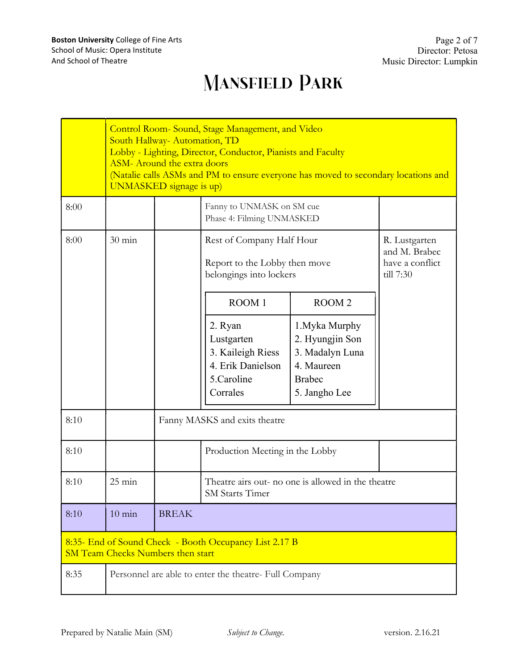|                                                                                                    | Control Room-Sound, Stage Management, and Video<br>South Hallway- Automation, TD<br>Lobby - Lighting, Director, Conductor, Pianists and Faculty<br><b>ASM-</b> Around the extra doors<br>(Natalie calls ASMs and PM to ensure everyone has moved to secondary locations and<br><b>UNMASKED</b> signage is up) |                               |                                                                                           |                                                                                                      |                                                                |
|----------------------------------------------------------------------------------------------------|---------------------------------------------------------------------------------------------------------------------------------------------------------------------------------------------------------------------------------------------------------------------------------------------------------------|-------------------------------|-------------------------------------------------------------------------------------------|------------------------------------------------------------------------------------------------------|----------------------------------------------------------------|
| 8:00                                                                                               |                                                                                                                                                                                                                                                                                                               |                               | Fanny to UNMASK on SM cue<br>Phase 4: Filming UNMASKED                                    |                                                                                                      |                                                                |
| 8:00                                                                                               | $30 \text{ min}$                                                                                                                                                                                                                                                                                              |                               | Rest of Company Half Hour<br>Report to the Lobby then move<br>belongings into lockers     |                                                                                                      | R. Lustgarten<br>and M. Brabec<br>have a conflict<br>till 7:30 |
|                                                                                                    |                                                                                                                                                                                                                                                                                                               |                               | ROOM 1                                                                                    | ROOM <sub>2</sub>                                                                                    |                                                                |
|                                                                                                    |                                                                                                                                                                                                                                                                                                               |                               | 2. Ryan<br>Lustgarten<br>3. Kaileigh Riess<br>4. Erik Danielson<br>5.Caroline<br>Corrales | 1. Myka Murphy<br>2. Hyungjin Son<br>3. Madalyn Luna<br>4. Maureen<br><b>Brabec</b><br>5. Jangho Lee |                                                                |
| 8:10                                                                                               |                                                                                                                                                                                                                                                                                                               | Fanny MASKS and exits theatre |                                                                                           |                                                                                                      |                                                                |
| 8:10                                                                                               |                                                                                                                                                                                                                                                                                                               |                               | Production Meeting in the Lobby                                                           |                                                                                                      |                                                                |
| 8:10                                                                                               | $25 \text{ min}$                                                                                                                                                                                                                                                                                              |                               | Theatre airs out- no one is allowed in the theatre<br><b>SM Starts Timer</b>              |                                                                                                      |                                                                |
| 8:10                                                                                               | $10 \text{ min}$                                                                                                                                                                                                                                                                                              | <b>BREAK</b>                  |                                                                                           |                                                                                                      |                                                                |
| 8:35- End of Sound Check - Booth Occupancy List 2.17 B<br><b>SM Team Checks Numbers then start</b> |                                                                                                                                                                                                                                                                                                               |                               |                                                                                           |                                                                                                      |                                                                |
| 8:35                                                                                               | Personnel are able to enter the theatre- Full Company                                                                                                                                                                                                                                                         |                               |                                                                                           |                                                                                                      |                                                                |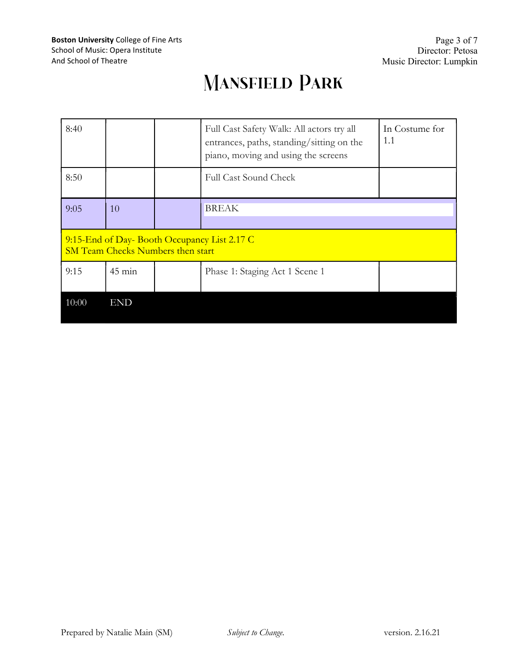| 8:40                                                                                    |                  |  | Full Cast Safety Walk: All actors try all<br>entrances, paths, standing/sitting on the<br>piano, moving and using the screens | In Costume for<br>1.1 |
|-----------------------------------------------------------------------------------------|------------------|--|-------------------------------------------------------------------------------------------------------------------------------|-----------------------|
| 8:50                                                                                    |                  |  | <b>Full Cast Sound Check</b>                                                                                                  |                       |
| 9:05                                                                                    | 10               |  | <b>BREAK</b>                                                                                                                  |                       |
| 9:15-End of Day-Booth Occupancy List 2.17 C<br><b>SM Team Checks Numbers then start</b> |                  |  |                                                                                                                               |                       |
| 9:15                                                                                    | $45 \text{ min}$ |  | Phase 1: Staging Act 1 Scene 1                                                                                                |                       |
| 10:00                                                                                   | <b>END</b>       |  |                                                                                                                               |                       |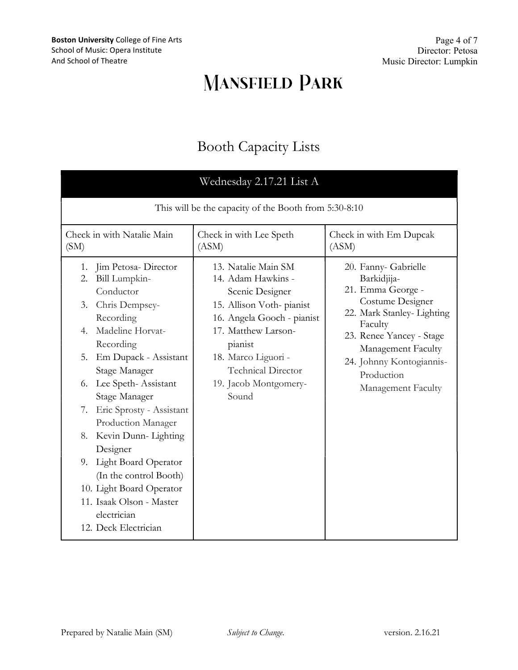Page 4 of 7 Director: Petosa Music Director: Lumpkin

# **MANSFIELD PARK**

#### Booth Capacity Lists

| Wednesday 2.17.21 List A                                                                                                                                                                                                                                                                                                                                                                                                                                                                               |                                                                                                                                                                                                                                         |                                                                                                                                                                                                                                         |  |  |  |
|--------------------------------------------------------------------------------------------------------------------------------------------------------------------------------------------------------------------------------------------------------------------------------------------------------------------------------------------------------------------------------------------------------------------------------------------------------------------------------------------------------|-----------------------------------------------------------------------------------------------------------------------------------------------------------------------------------------------------------------------------------------|-----------------------------------------------------------------------------------------------------------------------------------------------------------------------------------------------------------------------------------------|--|--|--|
| This will be the capacity of the Booth from 5:30-8:10                                                                                                                                                                                                                                                                                                                                                                                                                                                  |                                                                                                                                                                                                                                         |                                                                                                                                                                                                                                         |  |  |  |
| Check in with Natalie Main<br>(SM)                                                                                                                                                                                                                                                                                                                                                                                                                                                                     | Check in with Lee Speth<br>(ASM)                                                                                                                                                                                                        | Check in with Em Dupcak<br>(ASM)                                                                                                                                                                                                        |  |  |  |
| Jim Petosa-Director<br>1.<br>Bill Lumpkin-<br>2.<br>Conductor<br>Chris Dempsey-<br>3.<br>Recording<br>Madeline Horvat-<br>4.<br>Recording<br>5.<br>Em Dupack - Assistant<br>Stage Manager<br>Lee Speth-Assistant<br>6.<br>Stage Manager<br>Eric Sprosty - Assistant<br>7.<br>Production Manager<br>Kevin Dunn-Lighting<br>8.<br>Designer<br><b>Light Board Operator</b><br>9.<br>(In the control Booth)<br>10. Light Board Operator<br>11. Isaak Olson - Master<br>electrician<br>12. Deck Electrician | 13. Natalie Main SM<br>14. Adam Hawkins -<br>Scenic Designer<br>15. Allison Voth-pianist<br>16. Angela Gooch - pianist<br>17. Matthew Larson-<br>pianist<br>18. Marco Liguori -<br>Technical Director<br>19. Jacob Montgomery-<br>Sound | 20. Fanny- Gabrielle<br>Barkidjija-<br>21. Emma George -<br>Costume Designer<br>22. Mark Stanley- Lighting<br>Faculty<br>23. Renee Yancey - Stage<br>Management Faculty<br>24. Johnny Kontogiannis-<br>Production<br>Management Faculty |  |  |  |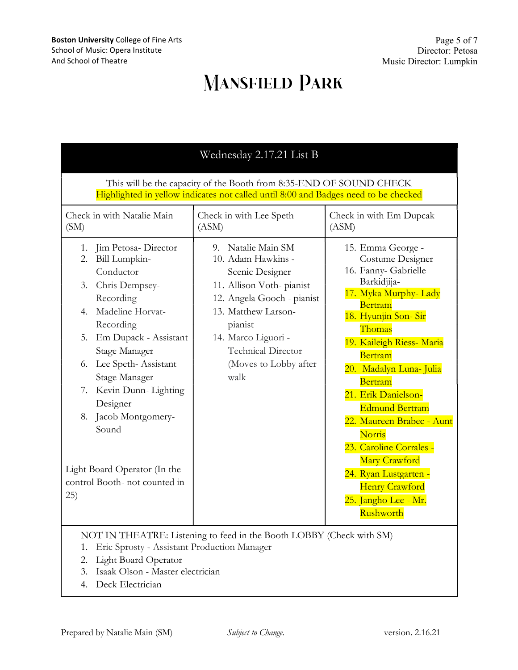| Wednesday 2.17.21 List B                                                                                                                                                                                                                                                                                                                                                                      |                                                                                                                                                                                                                                       |                                                                                                                                                                                                                                                                                                                                                                                                                                                           |  |  |
|-----------------------------------------------------------------------------------------------------------------------------------------------------------------------------------------------------------------------------------------------------------------------------------------------------------------------------------------------------------------------------------------------|---------------------------------------------------------------------------------------------------------------------------------------------------------------------------------------------------------------------------------------|-----------------------------------------------------------------------------------------------------------------------------------------------------------------------------------------------------------------------------------------------------------------------------------------------------------------------------------------------------------------------------------------------------------------------------------------------------------|--|--|
| This will be the capacity of the Booth from 8:35-END OF SOUND CHECK<br>Highlighted in yellow indicates not called until 8:00 and Badges need to be checked                                                                                                                                                                                                                                    |                                                                                                                                                                                                                                       |                                                                                                                                                                                                                                                                                                                                                                                                                                                           |  |  |
| Check in with Natalie Main<br>(SM)                                                                                                                                                                                                                                                                                                                                                            | Check in with Lee Speth<br>(ASM)                                                                                                                                                                                                      | Check in with Em Dupcak<br>(ASM)                                                                                                                                                                                                                                                                                                                                                                                                                          |  |  |
| 1.<br>Jim Petosa-Director<br>2.<br>Bill Lumpkin-<br>Conductor<br>Chris Dempsey-<br>3.<br>Recording<br>Madeline Horvat-<br>4.<br>Recording<br>Em Dupack - Assistant<br>5.<br>Stage Manager<br>Lee Speth-Assistant<br>6.<br>Stage Manager<br>Kevin Dunn-Lighting<br>7.<br>Designer<br>Jacob Montgomery-<br>8.<br>Sound<br>Light Board Operator (In the<br>control Booth- not counted in<br>(25) | 9. Natalie Main SM<br>10. Adam Hawkins -<br>Scenic Designer<br>11. Allison Voth-pianist<br>12. Angela Gooch - pianist<br>13. Matthew Larson-<br>pianist<br>14. Marco Liguori -<br>Technical Director<br>(Moves to Lobby after<br>walk | 15. Emma George -<br>Costume Designer<br>16. Fanny- Gabrielle<br>Barkidjija-<br>17. Myka Murphy- Lady<br>Bertram<br>18. Hyunjin Son-Sir<br>Thomas<br>19. Kaileigh Riess- Maria<br>Bertram<br>20. Madalyn Luna- Julia<br>Bertram<br>21. Erik Danielson-<br><b>Edmund Bertram</b><br>22. Maureen Brabec - Aunt<br>Norris<br>23. Caroline Corrales -<br>Mary Crawford<br>24. Ryan Lustgarten -<br><b>Henry Crawford</b><br>25. Jangho Lee - Mr.<br>Rushworth |  |  |
| NOT IN THEATRE: Listening to feed in the Booth LOBBY (Check with SM)<br>Eric Sprosty - Assistant Production Manager<br>1.<br><b>Light Board Operator</b><br>2.                                                                                                                                                                                                                                |                                                                                                                                                                                                                                       |                                                                                                                                                                                                                                                                                                                                                                                                                                                           |  |  |

- 3. Isaak Olson Master electrician
- 4. Deck Electrician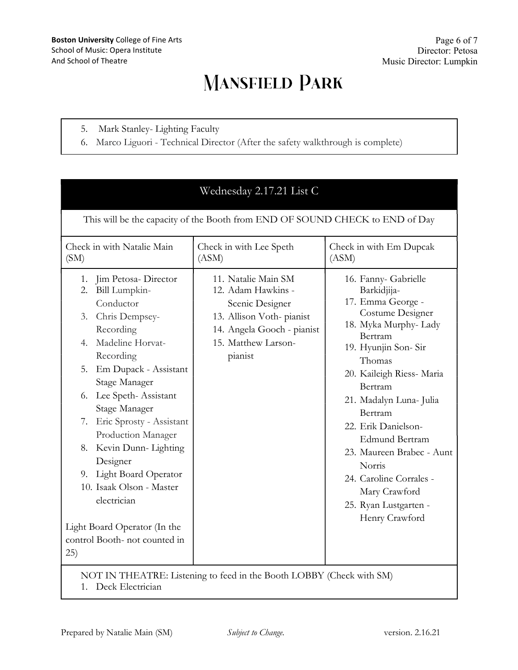- 5. Mark Stanley- Lighting Faculty
- 6. Marco Liguori Technical Director (After the safety walkthrough is complete)

| Wednesday 2.17.21 List C                                                                                                                                                                                                                                                                                                                                                                                                                                                            |                                                                                                                                                          |                                                                                                                                                                                                                                                                                                                                                                                                              |  |  |
|-------------------------------------------------------------------------------------------------------------------------------------------------------------------------------------------------------------------------------------------------------------------------------------------------------------------------------------------------------------------------------------------------------------------------------------------------------------------------------------|----------------------------------------------------------------------------------------------------------------------------------------------------------|--------------------------------------------------------------------------------------------------------------------------------------------------------------------------------------------------------------------------------------------------------------------------------------------------------------------------------------------------------------------------------------------------------------|--|--|
| This will be the capacity of the Booth from END OF SOUND CHECK to END of Day                                                                                                                                                                                                                                                                                                                                                                                                        |                                                                                                                                                          |                                                                                                                                                                                                                                                                                                                                                                                                              |  |  |
| Check in with Natalie Main<br>(SM)                                                                                                                                                                                                                                                                                                                                                                                                                                                  | Check in with Lee Speth<br>(ASM)                                                                                                                         | Check in with Em Dupcak<br>(ASM)                                                                                                                                                                                                                                                                                                                                                                             |  |  |
| Jim Petosa- Director<br>1.<br>2. Bill Lumpkin-<br>Conductor<br>Chris Dempsey-<br>3.<br>Recording<br>Madeline Horvat-<br>4.<br>Recording<br>Em Dupack - Assistant<br>5.<br>Stage Manager<br>Lee Speth-Assistant<br>6.<br>Stage Manager<br>7. Eric Sprosty - Assistant<br>Production Manager<br>Kevin Dunn- Lighting<br>8.<br>Designer<br>9. Light Board Operator<br>10. Isaak Olson - Master<br>electrician<br>Light Board Operator (In the<br>control Booth- not counted in<br>(25) | 11. Natalie Main SM<br>12. Adam Hawkins -<br>Scenic Designer<br>13. Allison Voth-pianist<br>14. Angela Gooch - pianist<br>15. Matthew Larson-<br>pianist | 16. Fanny- Gabrielle<br>Barkidjija-<br>17. Emma George -<br>Costume Designer<br>18. Myka Murphy-Lady<br>Bertram<br>19. Hyunjin Son-Sir<br>Thomas<br>20. Kaileigh Riess- Maria<br>Bertram<br>21. Madalyn Luna- Julia<br>Bertram<br>22. Erik Danielson-<br><b>Edmund Bertram</b><br>23. Maureen Brabec - Aunt<br>Norris<br>24. Caroline Corrales -<br>Mary Crawford<br>25. Ryan Lustgarten -<br>Henry Crawford |  |  |
| NOT IN THEATRE: Listening to feed in the Booth LOBBY (Check with SM)<br>1. Deck Electrician                                                                                                                                                                                                                                                                                                                                                                                         |                                                                                                                                                          |                                                                                                                                                                                                                                                                                                                                                                                                              |  |  |